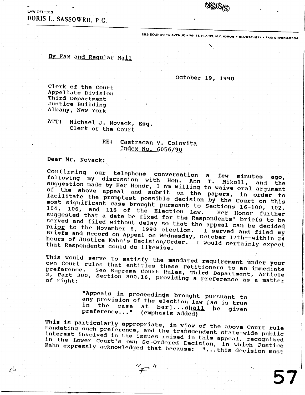LAW OFFICES DORIS L. SASSOWER, P.C.

283 SOUNDVIEW AVENUE . WHITE PLAINS, N.Y. 10606 . 914/997-1677 . FAX: 914/684-6554

## By Fax and Regular Mail

## October 19, 1990

Clerk of the Court Appellate Division Third Department Justice Building Albany, New York

ATT: Michael J. Novack, Esq. Clerk of the Court

## RE: Castracan v. Colovita Index No. 6056/90

Dear Mr. Novack:

رکانم

Confirming our telephone conversation a few minutes following my discussion with Hon. Ann T. ago, Mikoll, and the suggestion made by Her Honor, I am willing to waive oral argument of the above appeal and submit on the papers, in order to facilitate the promptest possible decision by the Court on this most significant case brought pursuant to Sections 16-100, 102, 104, 106, and 116 of the Election Law. Her Honor further suggested that a date be fixed for the Respondents' briefs to be served and filed without delay so that the appeal can be decided prior to the November 6, 1990 election. I served and filed my Briefs and Record on Appeal on Wednesday, October 17th--within 24<br>hours of Justice Kahn's Decision/Order. I would certainly expect that Respondents could do likewise.

This would serve to satisfy the mandated requirement under your own Court rules that entitles these Petitioners to an immediate See Supreme Court Rules, Third Department, Article 3, Part 300, Section 800.16, providing a preference as a matter

> "Appeals in proceedings brought pursuant to any provision of the election law [as is true in the case at bar]... shall be given preference..." (emphasis added)

This is particularly appropriate, in view of the above Court rule mandating such preference, and the transcendent state-wide public interest involved in the issues raised in this appeal, recognized in the Lower Court's own So-Ordered Decision, in which Justice Kahn expressly acknowledged that because: "...this decision must

 $^{\prime\prime}$   $\neq$   $^{\prime\prime}$